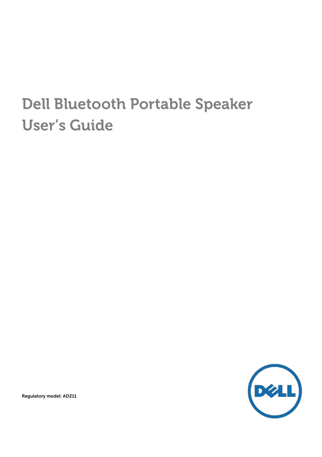# Dell Bluetooth Portable Speaker User's Guide



Regulatory model: AD211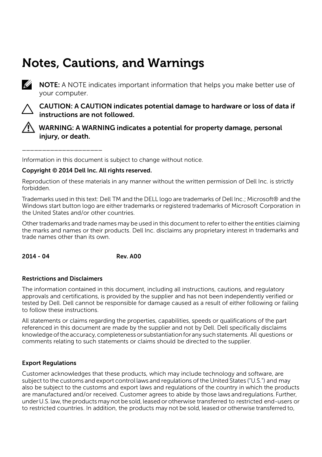# Notes, Cautions, and Warnings



 $\mathscr{U}$  NOTE: A NOTE indicates important information that helps you make better use of your computer.



CAUTION: A CAUTION indicates potential damage to hardware or loss of data if instructions are not followed.



WARNING: A WARNING indicates a potential for property damage, personal injury, or death.

Information in this document is subject to change without notice.

#### Copyright © 2014 Dell Inc. All rights reserved.

Reproduction of these materials in any manner without the written permission of Dell Inc. is strictly forbidden.

Trademarks used in this text: Dell TM and the DELL logo are trademarks of Dell Inc.; Microsoft® and the Windows start button logo are either trademarks or registered trademarks of Microsoft Corporation in the United States and/or other countries.

Other trademarks and trade names may be used in this document to refer to either the entities claiming the marks and names or their products. Dell Inc. disclaims any proprietary interest in trademarks and trade names other than its own.

2014 - 04 Rev. A00

#### Restrictions and Disclaimers

\_\_\_\_\_\_\_\_\_\_\_\_\_\_\_\_\_\_\_\_

The information contained in this document, including all instructions, cautions, and regulatory approvals and certifications, is provided by the supplier and has not been independently verified or tested by Dell. Dell cannot be responsible for damage caused as a result of either following or failing to follow these instructions.

All statements or claims regarding the properties, capabilities, speeds or qualifications of the part referenced in this document are made by the supplier and not by Dell. Dell specifically disclaims knowledgeofthe accuracy, completenessor substantiation for any such statements. All questions or comments relating to such statements or claims should be directed to the supplier.

#### Export Regulations

Customer acknowledges that these products, which may include technology and software, are subject to the customs and export control laws and regulations of the United States ("U.S.") and may also be subject to the customs and export laws and regulations of the country in which the products are manufactured and/or received. Customer agrees to abide by those laws andregulations. Further, under U.S. law,the products maynot be sold, leased or otherwise transferred to restricted end-users or to restricted countries. In addition, the products may not be sold, leased or otherwise transferred to,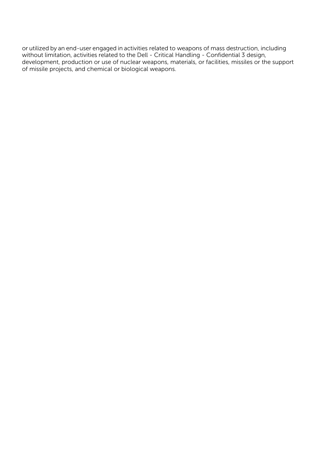or utilized by an end-user engaged in activities related to weapons of mass destruction, including without limitation, activities related to the Dell - Critical Handling - Confidential 3 design, development, production or use of nuclear weapons, materials, or facilities, missiles or the support of missile projects, and chemical or biological weapons.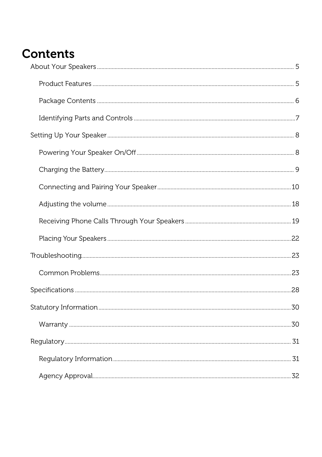# **Contents**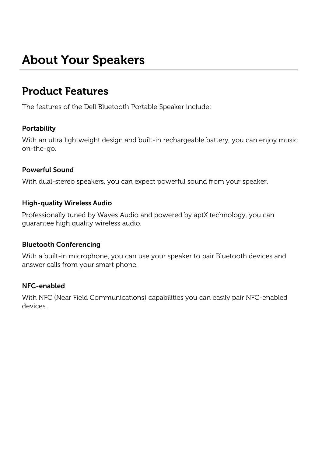# <span id="page-4-0"></span>About Your Speakers

## <span id="page-4-1"></span>Product Features

The features of the Dell Bluetooth Portable Speaker include:

#### **Portability**

With an ultra lightweight design and built-in rechargeable battery, you can enjoy music on-the-go.

#### Powerful Sound

With dual-stereo speakers, you can expect powerful sound from your speaker.

#### High-quality Wireless Audio

Professionally tuned by Waves Audio and powered by aptX technology, you can guarantee high quality wireless audio.

#### Bluetooth Conferencing

With a built-in microphone, you can use your speaker to pair Bluetooth devices and answer calls from your smart phone.

#### NFC-enabled

With NFC (Near Field Communications) capabilities you can easily pair NFC-enabled devices.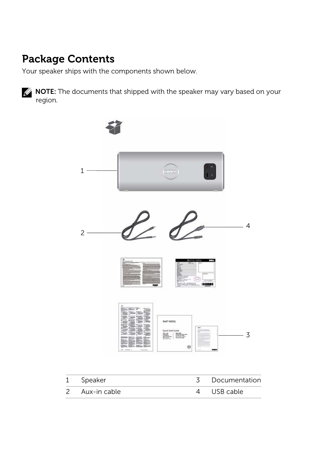# <span id="page-5-0"></span>Package Contents

Your speaker ships with the components shown below.

**NOTE:** The documents that shipped with the speaker may vary based on your region.



| 1 Speaker      | Documentation |
|----------------|---------------|
| 2 Aux-in cable | 4 USB cable   |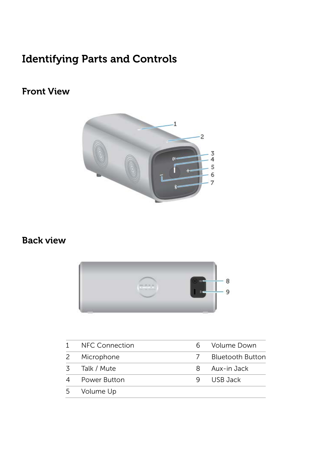# <span id="page-6-0"></span>Identifying Parts and Controls

### Front View



#### Back view



| 1  | <b>NFC Connection</b> |   | Volume Down      |
|----|-----------------------|---|------------------|
| 2  | Microphone            |   | Bluetooth Button |
| 3. | Talk / Mute           | 8 | Aux-in Jack      |
| 4  | Power Button          |   | USB Jack         |
| 5  | Volume Up             |   |                  |
|    |                       |   |                  |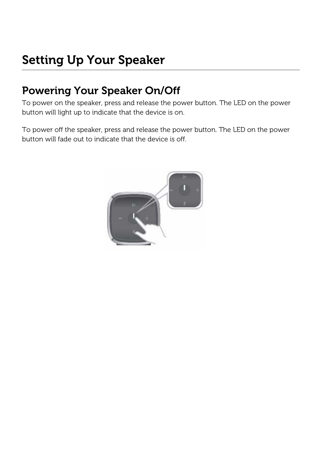# <span id="page-7-0"></span>Setting Up Your Speaker

## <span id="page-7-1"></span>Powering Your Speaker On/Off

To power on the speaker, press and release the power button. The LED on the power button will light up to indicate that the device is on.

To power off the speaker, press and release the power button. The LED on the power button will fade out to indicate that the device is off.

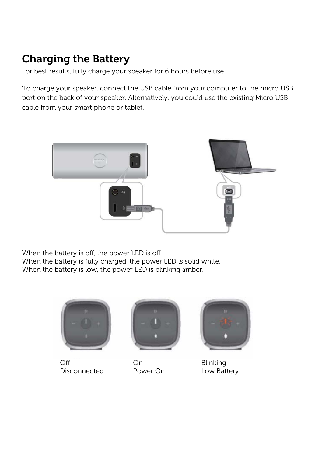# <span id="page-8-0"></span>Charging the Battery

For best results, fully charge your speaker for 6 hours before use.

To charge your speaker, connect the USB cable from your computer to the micro USB port on the back of your speaker. Alternatively, you could use the existing Micro USB cable from your smart phone or tablet.



When the battery is off, the power LED is off. When the battery is fully charged, the power LED is solid white. When the battery is low, the power LED is blinking amber.



Off On Blinking Disconnected Power On Low Battery



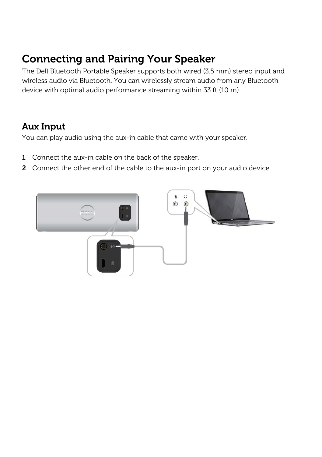## <span id="page-9-0"></span>Connecting and Pairing Your Speaker

The Dell Bluetooth Portable Speaker supports both wired (3.5 mm) stereo input and wireless audio via Bluetooth. You can wirelessly stream audio from any Bluetooth device with optimal audio performance streaming within 33 ft (10 m).

#### Aux Input

You can play audio using the aux-in cable that came with your speaker.

- 1 Connect the aux-in cable on the back of the speaker.
- 2 Connect the other end of the cable to the aux-in port on your audio device.

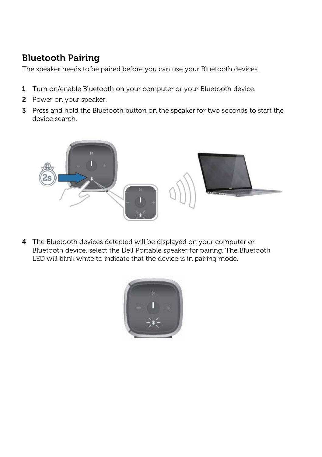### Bluetooth Pairing

The speaker needs to be paired before you can use your Bluetooth devices.

- 1 Turn on/enable Bluetooth on your computer or your Bluetooth device.
- 2 Power on your speaker.
- 3 Press and hold the Bluetooth button on the speaker for two seconds to start the device search.



4 The Bluetooth devices detected will be displayed on your computer or Bluetooth device, select the Dell Portable speaker for pairing. The Bluetooth LED will blink white to indicate that the device is in pairing mode.

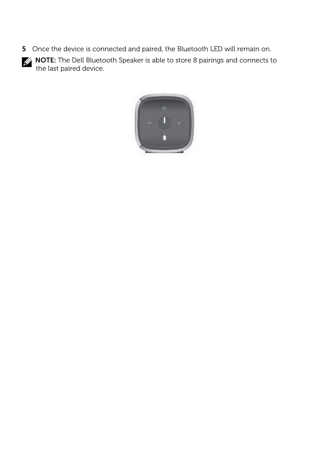5 Once the device is connected and paired, the Bluetooth LED will remain on.



**NOTE:** The Dell Bluetooth Speaker is able to store 8 pairings and connects to the last paired device.

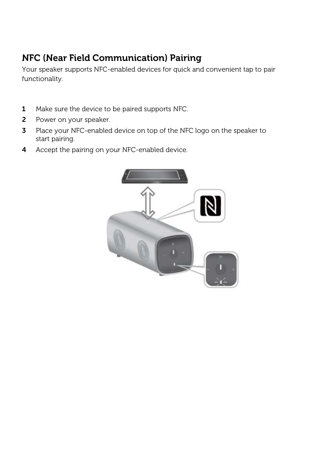## NFC (Near Field Communication) Pairing

Your speaker supports NFC-enabled devices for quick and convenient tap to pair functionality.

- 1 Make sure the device to be paired supports NFC.
- 2 Power on your speaker.
- 3 Place your NFC-enabled device on top of the NFC logo on the speaker to start pairing.
- 4 Accept the pairing on your NFC-enabled device.

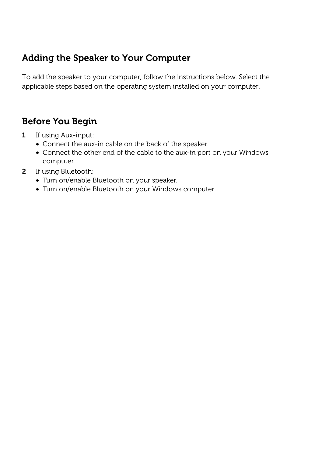#### Adding the Speaker to Your Computer

To add the speaker to your computer, follow the instructions below. Select the applicable steps based on the operating system installed on your computer.

### Before You Begin

- 1 If using Aux-input:
	- Connect the aux-in cable on the back of the speaker.
	- Connect the other end of the cable to the aux-in port on your Windows computer.
- 2 If using Bluetooth:
	- Turn on/enable Bluetooth on your speaker.
	- Turn on/enable Bluetooth on your Windows computer.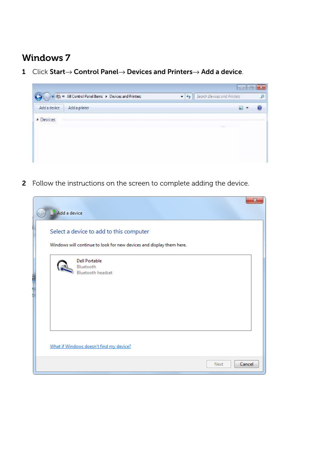### Windows 7

1 Click Start→ Control Panel→ Devices and Printers→ Add a device.



2 Follow the instructions on the screen to complete adding the device.

| Add a device                                                                                                    | $\overline{\mathbf{x}}$ |
|-----------------------------------------------------------------------------------------------------------------|-------------------------|
| Select a device to add to this computer<br>Windows will continue to look for new devices and display them here. |                         |
| <b>Dell Portable</b><br>Bluetooth<br><b>Bluetooth headset</b>                                                   |                         |
| What if Windows doesn't find my device?                                                                         |                         |
| Next                                                                                                            | Cancel                  |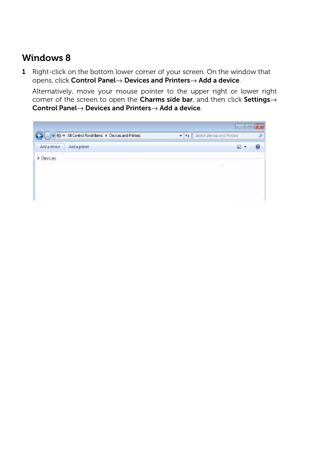#### Windows 8

1 Right-click on the bottom lower corner of your screen. On the window that opens, click Control Panel→ Devices and Printers→ Add a device.

Alternatively, move your mouse pointer to the upper right or lower right corner of the screen to open the Charms side bar, and then click Settings→ Control Panel→ Devices and Printers→ Add a device.

|                                                  | <b>PER I</b>                    | 日 |
|--------------------------------------------------|---------------------------------|---|
| Research of Manufacturers & Devices and Printers | • 4 Search Devices and Printers |   |
| Add a device<br>Add a printer                    | ⊒                               |   |
| <b>4</b> Devices                                 |                                 |   |
|                                                  | ÷                               |   |
|                                                  |                                 |   |
|                                                  |                                 |   |
|                                                  |                                 |   |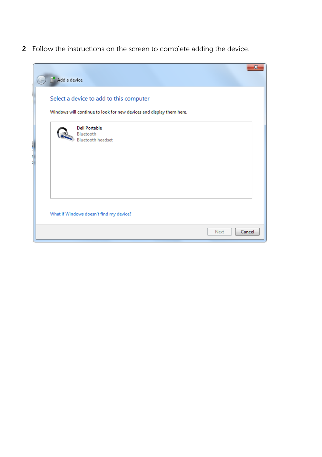2 Follow the instructions on the screen to complete adding the device.

| <sup>o</sup> Add a device                                                                                       | $\mathbf{x}$ |
|-----------------------------------------------------------------------------------------------------------------|--------------|
| Select a device to add to this computer<br>Windows will continue to look for new devices and display them here. |              |
| <b>Dell Portable</b><br>Bluetooth<br><b>Bluetooth headset</b>                                                   |              |
| What if Windows doesn't find my device?                                                                         |              |
| Next                                                                                                            | Cancel       |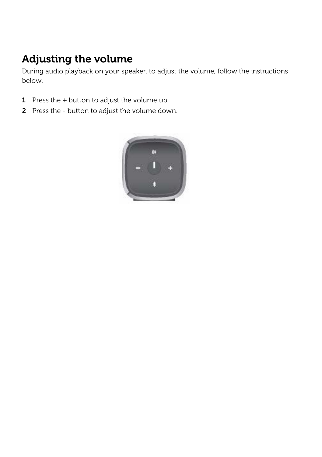# <span id="page-17-0"></span>Adjusting the volume

During audio playback on your speaker, to adjust the volume, follow the instructions below.

- **1** Press the  $+$  button to adjust the volume up.
- 2 Press the button to adjust the volume down.

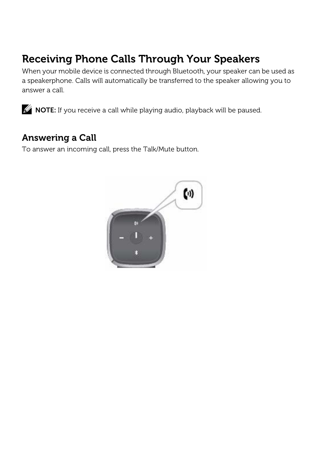## <span id="page-18-0"></span>Receiving Phone Calls Through Your Speakers

When your mobile device is connected through Bluetooth, your speaker can be used as a speakerphone. Calls will automatically be transferred to the speaker allowing you to answer a call.



**NOTE:** If you receive a call while playing audio, playback will be paused.

#### Answering a Call

To answer an incoming call, press the Talk/Mute button.

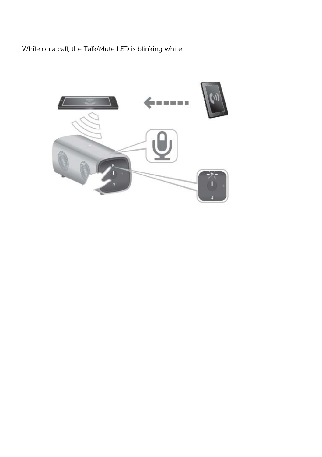While on a call, the Talk/Mute LED is blinking white.

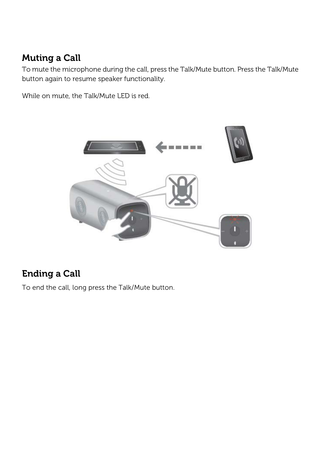### Muting a Call

To mute the microphone during the call, press the Talk/Mute button. Press the Talk/Mute button again to resume speaker functionality.

While on mute, the Talk/Mute LED is red.



### Ending a Call

To end the call, long press the Talk/Mute button.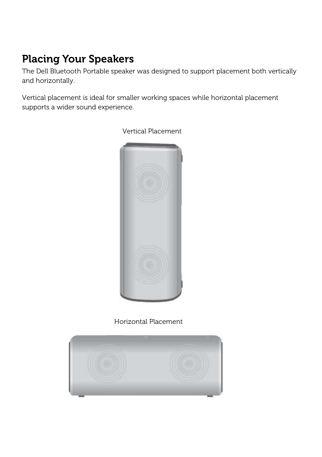# <span id="page-21-0"></span>Placing Your Speakers

The Dell Bluetooth Portable speaker was designed to support placement both vertically and horizontally.

Vertical placement is ideal for smaller working spaces while horizontal placement supports a wider sound experience.



Vertical Placement

Horizontal Placement

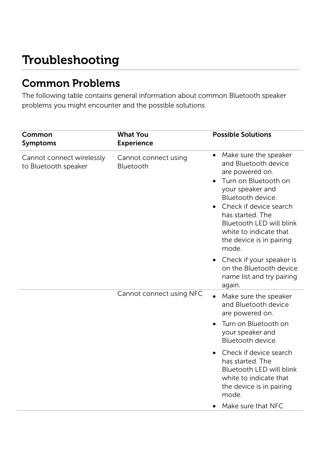# <span id="page-22-1"></span><span id="page-22-0"></span>Troubleshooting

## Common Problems

The following table contains general information about common Bluetooth speaker problems you might encounter and the possible solutions.

| Common<br><b>Symptoms</b>                         | <b>What You</b><br><b>Experience</b> | <b>Possible Solutions</b>                                                                                                                                                                                                                                                               |
|---------------------------------------------------|--------------------------------------|-----------------------------------------------------------------------------------------------------------------------------------------------------------------------------------------------------------------------------------------------------------------------------------------|
| Cannot connect wirelessly<br>to Bluetooth speaker | Cannot connect using<br>Bluetooth    | Make sure the speaker<br>$\bullet$<br>and Bluetooth device<br>are powered on.<br>Turn on Bluetooth on<br>your speaker and<br>Bluetooth device.<br>Check if device search<br>has started. The<br>Bluetooth LED will blink<br>white to indicate that<br>the device is in pairing<br>mode. |
|                                                   |                                      | • Check if your speaker is<br>on the Bluetooth device<br>name list and try pairing<br>again.                                                                                                                                                                                            |
|                                                   | Cannot connect using NFC             | Make sure the speaker<br>and Bluetooth device<br>are powered on.                                                                                                                                                                                                                        |
|                                                   |                                      | Turn on Bluetooth on<br>your speaker and<br>Bluetooth device.                                                                                                                                                                                                                           |
|                                                   |                                      | Check if device search<br>has started. The<br>Bluetooth LED will blink<br>white to indicate that<br>the device is in pairing<br>mode.                                                                                                                                                   |
|                                                   |                                      | Make sure that NFC<br>$\bullet$                                                                                                                                                                                                                                                         |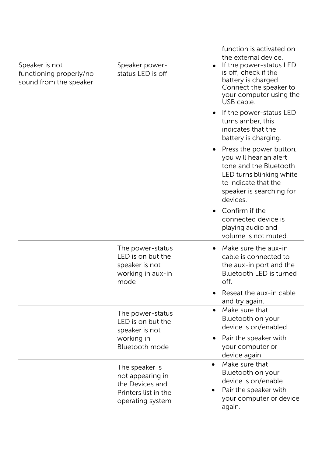|                                                                     |                                                                                                                | function is activated on<br>the external device.                                                                                                                        |
|---------------------------------------------------------------------|----------------------------------------------------------------------------------------------------------------|-------------------------------------------------------------------------------------------------------------------------------------------------------------------------|
| Speaker is not<br>functioning properly/no<br>sound from the speaker | Speaker power-<br>status LED is off                                                                            | If the power-status LED<br>is off, check if the<br>battery is charged.<br>Connect the speaker to<br>your computer using the<br>USB cable.                               |
|                                                                     |                                                                                                                | If the power-status LED<br>turns amber, this<br>indicates that the<br>battery is charging.                                                                              |
|                                                                     |                                                                                                                | Press the power button,<br>you will hear an alert<br>tone and the Bluetooth<br>LED turns blinking white<br>to indicate that the<br>speaker is searching for<br>devices. |
|                                                                     |                                                                                                                | Confirm if the<br>connected device is<br>playing audio and<br>volume is not muted.                                                                                      |
|                                                                     | The power-status<br>LED is on but the<br>speaker is not<br>working in aux-in<br>mode                           | Make sure the aux-in<br>cable is connected to<br>the aux-in port and the<br>Bluetooth LED is turned<br>off.                                                             |
|                                                                     |                                                                                                                | Reseat the aux-in cable<br>and try again.                                                                                                                               |
|                                                                     | $\bullet$<br>The power-status<br>LED is on but the<br>speaker is not                                           | Make sure that<br>Bluetooth on your<br>device is on/enabled.                                                                                                            |
|                                                                     | working in<br>Bluetooth mode                                                                                   | Pair the speaker with<br>your computer or<br>device again.                                                                                                              |
|                                                                     | $\bullet$<br>The speaker is<br>not appearing in<br>the Devices and<br>Printers list in the<br>operating system | Make sure that<br>Bluetooth on your<br>device is on/enable<br>Pair the speaker with<br>your computer or device<br>again.                                                |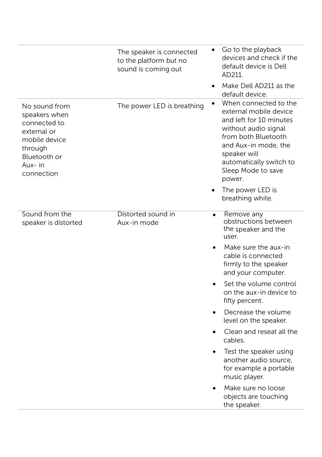|                                                                                                                                   | The speaker is connected<br>to the platform but no<br>sound is coming out | Go to the playback<br>devices and check if the<br>default device is Dell<br>AD211.<br>Make Dell AD211 as the<br>$\bullet$<br>default device.                                                                                                     |
|-----------------------------------------------------------------------------------------------------------------------------------|---------------------------------------------------------------------------|--------------------------------------------------------------------------------------------------------------------------------------------------------------------------------------------------------------------------------------------------|
| No sound from<br>speakers when<br>connected to<br>external or<br>mobile device<br>through<br>Bluetooth or<br>Aux-in<br>connection | The power LED is breathing                                                | When connected to the<br>external mobile device<br>and left for 10 minutes<br>without audio signal<br>from both Bluetooth<br>and Aux-in mode, the<br>speaker will<br>automatically switch to<br>Sleep Mode to save<br>power.<br>The power LED is |
|                                                                                                                                   |                                                                           | breathing white.                                                                                                                                                                                                                                 |
| Sound from the<br>speaker is distorted                                                                                            | Distorted sound in<br>Aux-in mode                                         | Remove any<br>$\bullet$<br>obstructions between<br>the speaker and the<br>user.                                                                                                                                                                  |
|                                                                                                                                   |                                                                           | Make sure the aux-in<br>cable is connected<br>firmly to the speaker<br>and your computer.                                                                                                                                                        |
|                                                                                                                                   |                                                                           | Set the volume control<br>on the aux-in device to<br>fifty percent.                                                                                                                                                                              |
|                                                                                                                                   |                                                                           | Decrease the volume<br>level on the speaker.                                                                                                                                                                                                     |
|                                                                                                                                   |                                                                           | Clean and reseat all the<br>cables.                                                                                                                                                                                                              |
|                                                                                                                                   |                                                                           | Test the speaker using<br>another audio source,<br>for example a portable<br>music player.                                                                                                                                                       |
|                                                                                                                                   |                                                                           | Make sure no loose<br>objects are touching<br>the speaker.                                                                                                                                                                                       |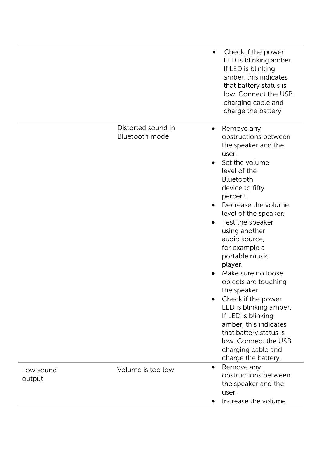|                     |                                      | Check if the power<br>LED is blinking amber.<br>If LED is blinking<br>amber, this indicates<br>that battery status is<br>low. Connect the USB<br>charging cable and<br>charge the battery.                                                                                                                                                                                                                                                                                                                                                                                                              |
|---------------------|--------------------------------------|---------------------------------------------------------------------------------------------------------------------------------------------------------------------------------------------------------------------------------------------------------------------------------------------------------------------------------------------------------------------------------------------------------------------------------------------------------------------------------------------------------------------------------------------------------------------------------------------------------|
|                     | Distorted sound in<br>Bluetooth mode | Remove any<br>$\bullet$<br>obstructions between<br>the speaker and the<br>user.<br>Set the volume<br>$\bullet$<br>level of the<br>Bluetooth<br>device to fifty<br>percent.<br>Decrease the volume<br>$\bullet$<br>level of the speaker.<br>Test the speaker<br>using another<br>audio source,<br>for example a<br>portable music<br>player.<br>Make sure no loose<br>objects are touching<br>the speaker.<br>Check if the power<br>LED is blinking amber.<br>If LED is blinking<br>amber, this indicates<br>that battery status is<br>low. Connect the USB<br>charging cable and<br>charge the battery. |
| Low sound<br>output | Volume is too low                    | Remove any<br>$\bullet$<br>obstructions between<br>the speaker and the<br>user.<br>Increase the volume                                                                                                                                                                                                                                                                                                                                                                                                                                                                                                  |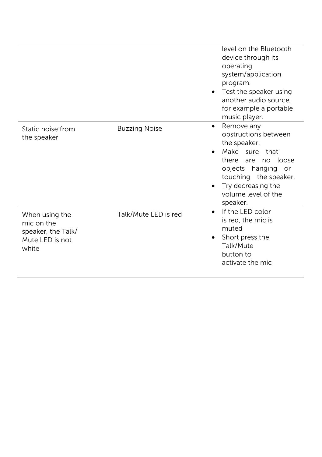|                                                                                |                      | level on the Bluetooth<br>device through its<br>operating<br>system/application<br>program.<br>Test the speaker using<br>$\bullet$<br>another audio source,<br>for example a portable<br>music player.          |
|--------------------------------------------------------------------------------|----------------------|-----------------------------------------------------------------------------------------------------------------------------------------------------------------------------------------------------------------|
| Static noise from<br>the speaker                                               | <b>Buzzing Noise</b> | Remove any<br>$\bullet$<br>obstructions between<br>the speaker.<br>Make sure that<br>there are no loose<br>objects hanging or<br>touching the speaker.<br>Try decreasing the<br>volume level of the<br>speaker. |
| When using the<br>mic on the<br>speaker, the Talk/<br>Mute LED is not<br>white | Talk/Mute LED is red | If the LED color<br>$\bullet$<br>is red, the mic is<br>muted<br>Short press the<br>$\bullet$<br>Talk/Mute<br>button to<br>activate the mic                                                                      |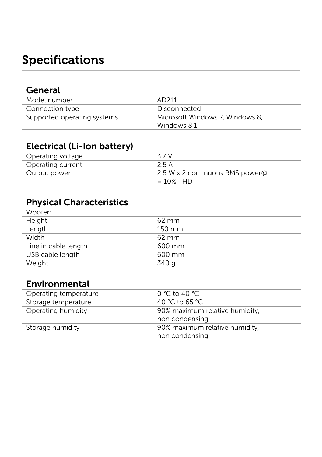# <span id="page-27-0"></span>Specifications

| General                     |                                 |
|-----------------------------|---------------------------------|
| Model number                | AD211                           |
| Connection type             | Disconnected                    |
| Supported operating systems | Microsoft Windows 7. Windows 8. |
|                             | Windows 8.1                     |

#### Electrical (Li-Ion battery)

| 37 V                                            |
|-------------------------------------------------|
| 2.5 A                                           |
| 2.5 W x 2 continuous RMS power@<br>$= 10\%$ THD |
|                                                 |

### Physical Characteristics

| Woofer:              |                     |
|----------------------|---------------------|
| Height               | $62 \, \mathrm{mm}$ |
| Length               | $150 \text{ mm}$    |
| Width                | $62 \, \mathrm{mm}$ |
| Line in cable length | 600 mm              |
| USB cable length     | 600 mm              |
| Weight               | 340 g               |

#### Environmental

| Operating temperature | 0 °C to 40 °C                  |
|-----------------------|--------------------------------|
| Storage temperature   | 40 °C to 65 °C                 |
| Operating humidity    | 90% maximum relative humidity. |
|                       | non condensing                 |
| Storage humidity      | 90% maximum relative humidity, |
|                       | non condensing                 |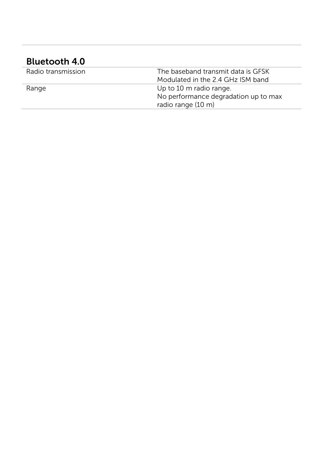#### Bluetooth 4 . 0

| Radio transmission | The baseband transmit data is GFSK   |
|--------------------|--------------------------------------|
|                    | Modulated in the 2.4 GHz ISM band    |
| Range              | Up to 10 m radio range.              |
|                    | No performance degradation up to max |
|                    | radio range (10 m)                   |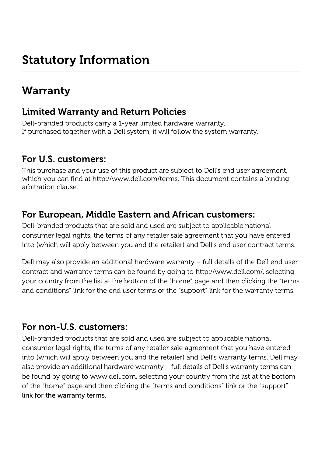## <span id="page-29-1"></span><span id="page-29-0"></span>Warranty

#### Limited Warranty and Return Policies

Dell-branded products carry a 1-year limited hardware warranty. If purchased together with a Dell system, it will follow the system warranty.

### For U.S. customers:

This purchase and your use of this product are subject to Dell's end user agreement, which you can find at http://www.dell.com/terms. This document contains a binding arbitration clause.

#### For European, Middle Eastern and African customers:

Dell-branded products that are sold and used are subject to applicable national consumer legal rights, the terms of any retailer sale agreement that you have entered into (which will apply between you and the retailer) and Dell's end user contract terms.

Dell may also provide an additional hardware warranty – full details of the Dell end user contract and warranty terms can be found by going to http://www.dell.com/, selecting your country from the list at the bottom of the "home" page and then clicking the "terms and conditions" link for the end user terms or the "support" link for the warranty terms.

#### For non-U.S. customers:

Dell-branded products that are sold and used are subject to applicable national consumer legal rights, the terms of any retailer sale agreement that you have entered into (which will apply between you and the retailer) and Dell's warranty terms. Dell may also provide an additional hardware warranty – full details of Dell's warranty terms can be found by going to www.dell.com, selecting your country from the list at the bottom of the "home" page and then clicking the "terms and conditions" link or the "support" link for the warranty terms.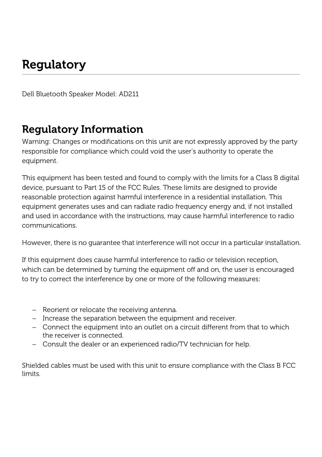# <span id="page-30-0"></span>**Regulatory**

Dell Bluetooth Speaker Model: AD211

## <span id="page-30-1"></span>Regulatory Information

Warning: Changes or modifications on this unit are not expressly approved by the party responsible for compliance which could void the user's authority to operate the equipment.

This equipment has been tested and found to comply with the limits for a Class B digital device, pursuant to Part 15 of the FCC Rules. These limits are designed to provide reasonable protection against harmful interference in a residential installation. This equipment generates uses and can radiate radio frequency energy and, if not installed and used in accordance with the instructions, may cause harmful interference to radio communications.

However, there is no guarantee that interference will not occur in a particular installation.

If this equipment does cause harmful interference to radio or television reception, which can be determined by turning the equipment off and on, the user is encouraged to try to correct the interference by one or more of the following measures:

- − Reorient or relocate the receiving antenna.
- − Increase the separation between the equipment and receiver.
- − Connect the equipment into an outlet on a circuit different from that to which the receiver is connected.
- − Consult the dealer or an experienced radio/TV technician for help.

Shielded cables must be used with this unit to ensure compliance with the Class B FCC limits.